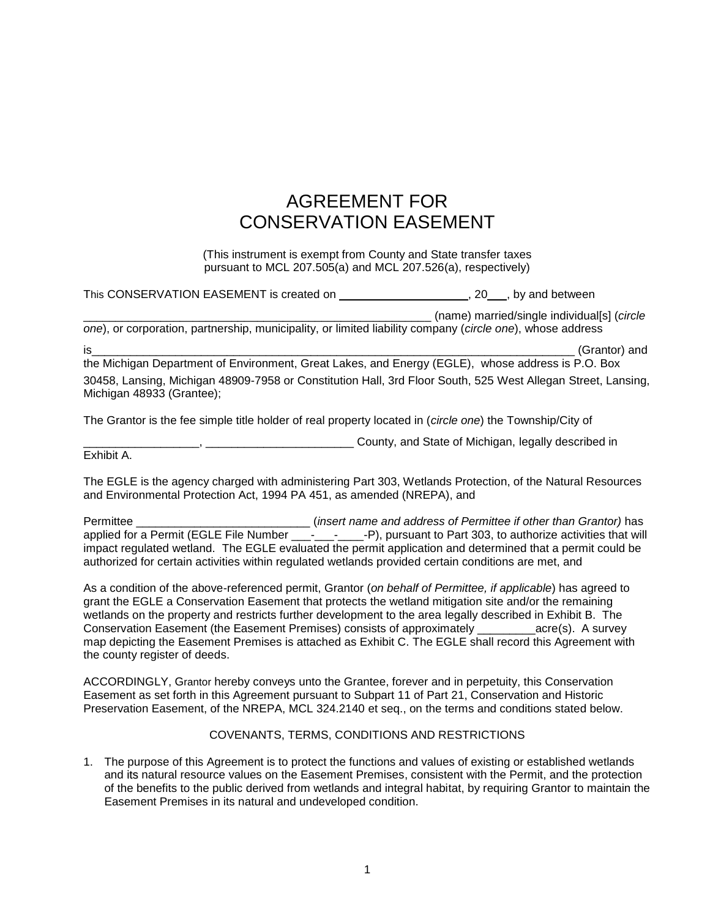## AGREEMENT FOR CONSERVATION EASEMENT

(This instrument is exempt from County and State transfer taxes pursuant to MCL 207.505(a) and MCL 207.526(a), respectively)

This CONSERVATION EASEMENT is created on  $\overline{a}$ , 20, by and between

\_\_\_\_\_\_\_\_\_\_\_\_\_\_\_\_\_\_\_\_\_\_\_\_\_\_\_\_\_\_\_\_\_\_\_\_\_\_\_\_\_\_\_\_\_\_\_\_\_\_\_\_\_\_ (name) married/single individual[s] (*circle one*), or corporation, partnership, municipality, or limited liability company (*circle one*), whose address

is\_\_\_\_\_\_\_\_\_\_\_\_\_\_\_\_\_\_\_\_\_\_\_\_\_\_\_\_\_\_\_\_\_\_\_\_\_\_\_\_\_\_\_\_\_\_\_\_\_\_\_\_\_\_\_\_\_\_\_\_\_\_\_\_\_\_\_\_\_\_\_\_\_\_\_ (Grantor) and the Michigan Department of Environment, Great Lakes, and Energy (EGLE), whose address is P.O. Box

30458, Lansing, Michigan 48909-7958 or Constitution Hall, 3rd Floor South, 525 West Allegan Street, Lansing, Michigan 48933 (Grantee);

The Grantor is the fee simple title holder of real property located in (*circle one*) the Township/City of

Exhibit A.

The EGLE is the agency charged with administering Part 303, Wetlands Protection, of the Natural Resources and Environmental Protection Act, 1994 PA 451, as amended (NREPA), and

\_\_\_\_\_\_\_\_\_\_\_\_\_\_\_\_\_\_, \_\_\_\_\_\_\_\_\_\_\_\_\_\_\_\_\_\_\_\_\_\_\_ County, and State of Michigan, legally described in

Permittee \_\_\_\_\_\_\_\_\_\_\_\_\_\_\_\_\_\_\_\_\_\_\_\_\_\_\_ (*insert name and address of Permittee if other than Grantor)* has applied for a Permit (EGLE File Number \_\_\_\_-\_\_\_\_\_\_\_\_-P), pursuant to Part 303, to authorize activities that will impact regulated wetland. The EGLE evaluated the permit application and determined that a permit could be authorized for certain activities within regulated wetlands provided certain conditions are met, and

As a condition of the above-referenced permit, Grantor (*on behalf of Permittee, if applicable*) has agreed to grant the EGLE a Conservation Easement that protects the wetland mitigation site and/or the remaining wetlands on the property and restricts further development to the area legally described in Exhibit B. The Conservation Easement (the Easement Premises) consists of approximately \_\_\_\_\_\_\_\_\_acre(s). A survey map depicting the Easement Premises is attached as Exhibit C. The EGLE shall record this Agreement with the county register of deeds.

ACCORDINGLY, Grantor hereby conveys unto the Grantee, forever and in perpetuity, this Conservation Easement as set forth in this Agreement pursuant to Subpart 11 of Part 21, Conservation and Historic Preservation Easement, of the NREPA, MCL 324.2140 et seq., on the terms and conditions stated below.

#### COVENANTS, TERMS, CONDITIONS AND RESTRICTIONS

1. The purpose of this Agreement is to protect the functions and values of existing or established wetlands and its natural resource values on the Easement Premises, consistent with the Permit, and the protection of the benefits to the public derived from wetlands and integral habitat, by requiring Grantor to maintain the Easement Premises in its natural and undeveloped condition.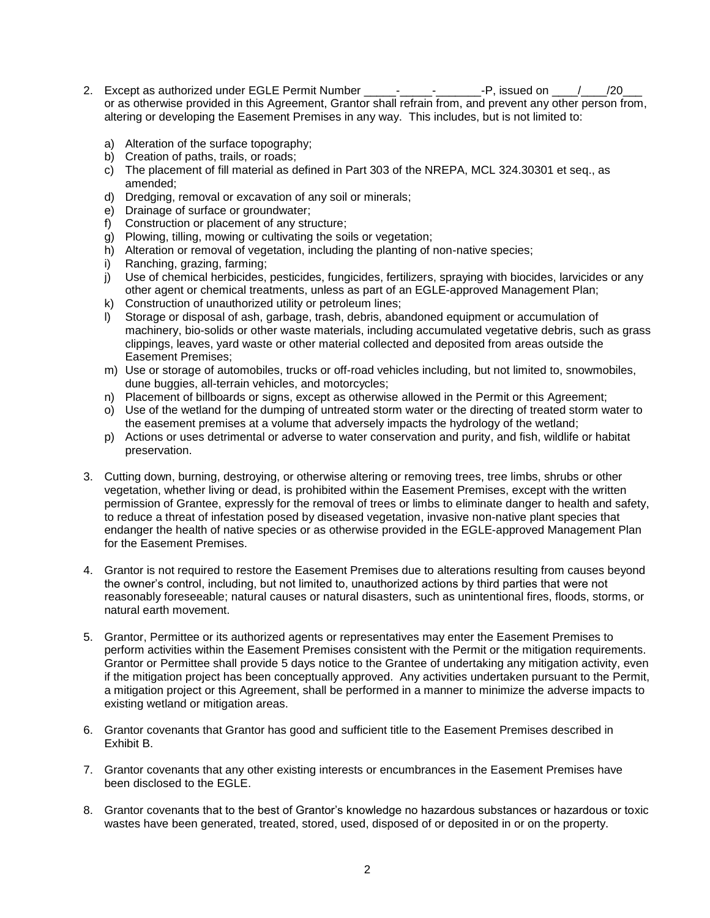- 2. Except as authorized under EGLE Permit Number \_\_\_\_\_\_\_\_\_\_\_\_\_\_\_\_\_\_\_\_\_\_\_\_\_\_\_\_\_\_\_-P, issued on  $\frac{1}{20}$ or as otherwise provided in this Agreement, Grantor shall refrain from, and prevent any other person from, altering or developing the Easement Premises in any way. This includes, but is not limited to:
	- a) Alteration of the surface topography;
	- b) Creation of paths, trails, or roads;
	- c) The placement of fill material as defined in Part 303 of the NREPA, MCL 324.30301 et seq., as amended;
	- d) Dredging, removal or excavation of any soil or minerals;
	- e) Drainage of surface or groundwater;
	- f) Construction or placement of any structure;
	- g) Plowing, tilling, mowing or cultivating the soils or vegetation;
	- h) Alteration or removal of vegetation, including the planting of non-native species;
	- i) Ranching, grazing, farming;
	- j) Use of chemical herbicides, pesticides, fungicides, fertilizers, spraying with biocides, larvicides or any other agent or chemical treatments, unless as part of an EGLE-approved Management Plan;
	- k) Construction of unauthorized utility or petroleum lines;
	- l) Storage or disposal of ash, garbage, trash, debris, abandoned equipment or accumulation of machinery, bio-solids or other waste materials, including accumulated vegetative debris, such as grass clippings, leaves, yard waste or other material collected and deposited from areas outside the Easement Premises;
	- m) Use or storage of automobiles, trucks or off-road vehicles including, but not limited to, snowmobiles, dune buggies, all-terrain vehicles, and motorcycles;
	- n) Placement of billboards or signs, except as otherwise allowed in the Permit or this Agreement;
	- o) Use of the wetland for the dumping of untreated storm water or the directing of treated storm water to the easement premises at a volume that adversely impacts the hydrology of the wetland;
	- p) Actions or uses detrimental or adverse to water conservation and purity, and fish, wildlife or habitat preservation.
- 3. Cutting down, burning, destroying, or otherwise altering or removing trees, tree limbs, shrubs or other vegetation, whether living or dead, is prohibited within the Easement Premises, except with the written permission of Grantee, expressly for the removal of trees or limbs to eliminate danger to health and safety, to reduce a threat of infestation posed by diseased vegetation, invasive non-native plant species that endanger the health of native species or as otherwise provided in the EGLE-approved Management Plan for the Easement Premises.
- 4. Grantor is not required to restore the Easement Premises due to alterations resulting from causes beyond the owner's control, including, but not limited to, unauthorized actions by third parties that were not reasonably foreseeable; natural causes or natural disasters, such as unintentional fires, floods, storms, or natural earth movement.
- 5. Grantor, Permittee or its authorized agents or representatives may enter the Easement Premises to perform activities within the Easement Premises consistent with the Permit or the mitigation requirements. Grantor or Permittee shall provide 5 days notice to the Grantee of undertaking any mitigation activity, even if the mitigation project has been conceptually approved. Any activities undertaken pursuant to the Permit, a mitigation project or this Agreement, shall be performed in a manner to minimize the adverse impacts to existing wetland or mitigation areas.
- 6. Grantor covenants that Grantor has good and sufficient title to the Easement Premises described in Exhibit B.
- 7. Grantor covenants that any other existing interests or encumbrances in the Easement Premises have been disclosed to the EGLE.
- 8. Grantor covenants that to the best of Grantor's knowledge no hazardous substances or hazardous or toxic wastes have been generated, treated, stored, used, disposed of or deposited in or on the property.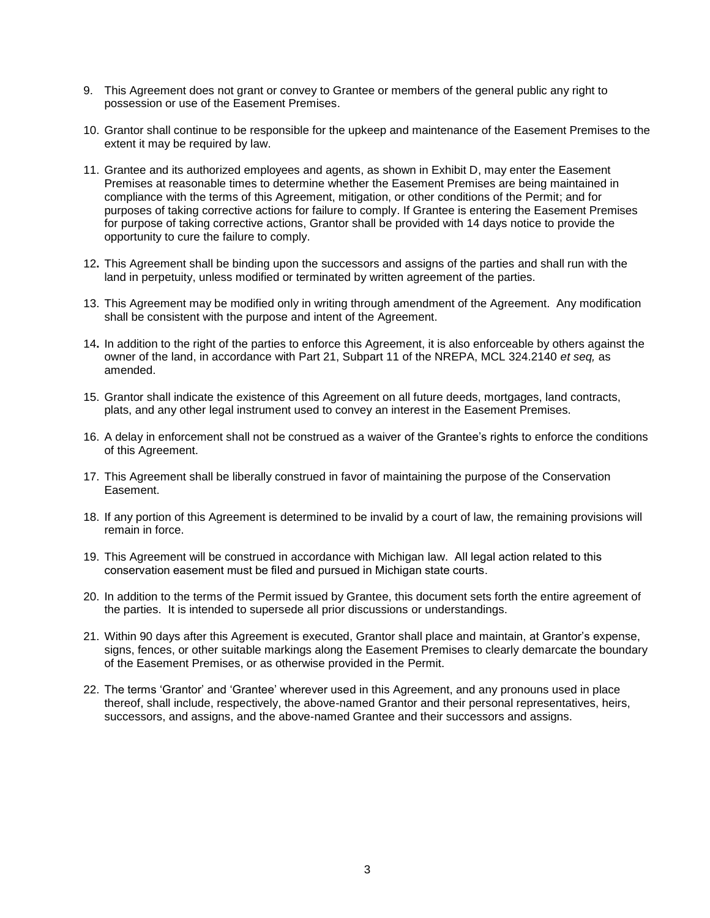- 9. This Agreement does not grant or convey to Grantee or members of the general public any right to possession or use of the Easement Premises.
- 10. Grantor shall continue to be responsible for the upkeep and maintenance of the Easement Premises to the extent it may be required by law.
- 11. Grantee and its authorized employees and agents, as shown in Exhibit D, may enter the Easement Premises at reasonable times to determine whether the Easement Premises are being maintained in compliance with the terms of this Agreement, mitigation, or other conditions of the Permit; and for purposes of taking corrective actions for failure to comply. If Grantee is entering the Easement Premises for purpose of taking corrective actions, Grantor shall be provided with 14 days notice to provide the opportunity to cure the failure to comply.
- 12**.** This Agreement shall be binding upon the successors and assigns of the parties and shall run with the land in perpetuity, unless modified or terminated by written agreement of the parties.
- 13. This Agreement may be modified only in writing through amendment of the Agreement. Any modification shall be consistent with the purpose and intent of the Agreement.
- 14**.** In addition to the right of the parties to enforce this Agreement, it is also enforceable by others against the owner of the land, in accordance with Part 21, Subpart 11 of the NREPA, MCL 324.2140 *et seq,* as amended.
- 15. Grantor shall indicate the existence of this Agreement on all future deeds, mortgages, land contracts, plats, and any other legal instrument used to convey an interest in the Easement Premises.
- 16. A delay in enforcement shall not be construed as a waiver of the Grantee's rights to enforce the conditions of this Agreement.
- 17. This Agreement shall be liberally construed in favor of maintaining the purpose of the Conservation Easement.
- 18. If any portion of this Agreement is determined to be invalid by a court of law, the remaining provisions will remain in force.
- 19. This Agreement will be construed in accordance with Michigan law. All legal action related to this conservation easement must be filed and pursued in Michigan state courts.
- 20. In addition to the terms of the Permit issued by Grantee, this document sets forth the entire agreement of the parties. It is intended to supersede all prior discussions or understandings.
- 21. Within 90 days after this Agreement is executed, Grantor shall place and maintain, at Grantor's expense, signs, fences, or other suitable markings along the Easement Premises to clearly demarcate the boundary of the Easement Premises, or as otherwise provided in the Permit.
- 22. The terms 'Grantor' and 'Grantee' wherever used in this Agreement, and any pronouns used in place thereof, shall include, respectively, the above-named Grantor and their personal representatives, heirs, successors, and assigns, and the above-named Grantee and their successors and assigns.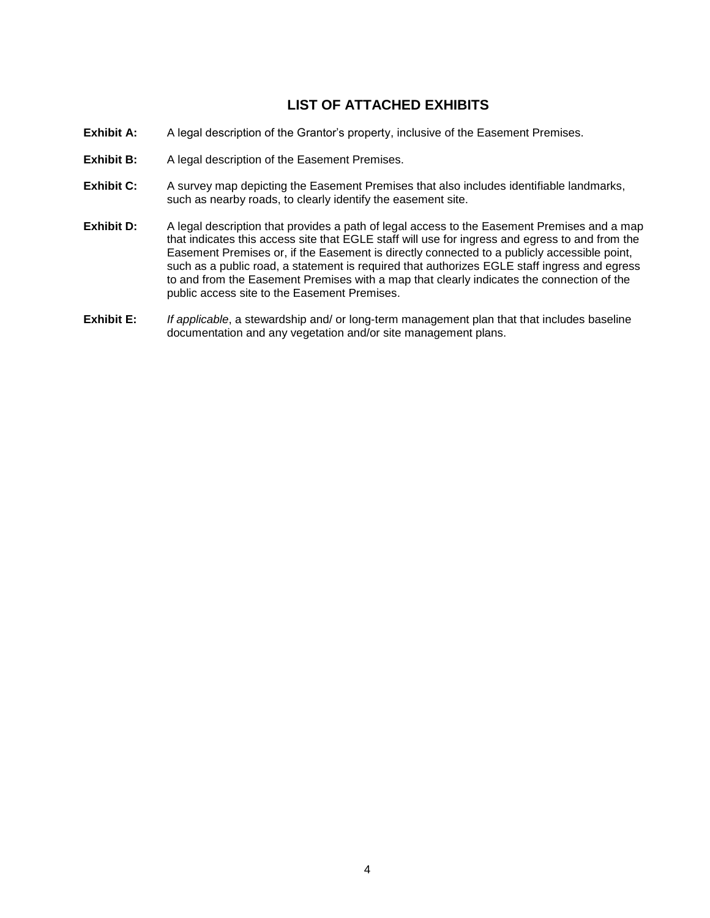### **LIST OF ATTACHED EXHIBITS**

- **Exhibit A:** A legal description of the Grantor's property, inclusive of the Easement Premises.
- **Exhibit B:** A legal description of the Easement Premises.
- **Exhibit C:** A survey map depicting the Easement Premises that also includes identifiable landmarks, such as nearby roads, to clearly identify the easement site.
- **Exhibit D:** A legal description that provides a path of legal access to the Easement Premises and a map that indicates this access site that EGLE staff will use for ingress and egress to and from the Easement Premises or, if the Easement is directly connected to a publicly accessible point, such as a public road, a statement is required that authorizes EGLE staff ingress and egress to and from the Easement Premises with a map that clearly indicates the connection of the public access site to the Easement Premises.
- **Exhibit E:** *If applicable*, a stewardship and/ or long-term management plan that that includes baseline documentation and any vegetation and/or site management plans.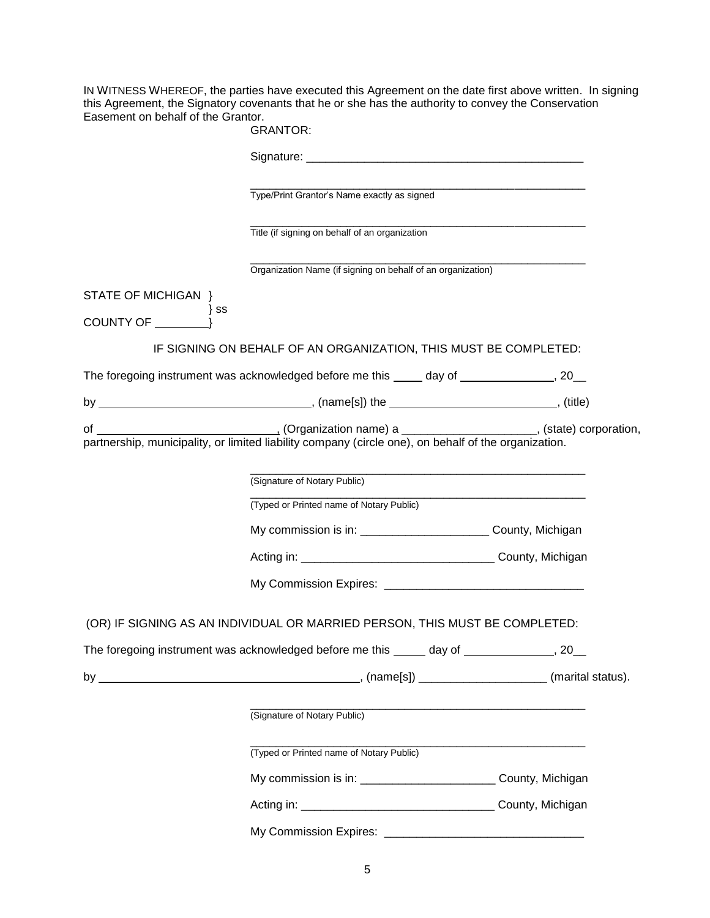IN WITNESS WHEREOF, the parties have executed this Agreement on the date first above written. In signing this Agreement, the Signatory covenants that he or she has the authority to convey the Conservation Easement on behalf of the Grantor.

|                                | <b>GRANTOR:</b>                                                                                                                                                                                                               |  |
|--------------------------------|-------------------------------------------------------------------------------------------------------------------------------------------------------------------------------------------------------------------------------|--|
|                                |                                                                                                                                                                                                                               |  |
|                                | Type/Print Grantor's Name exactly as signed                                                                                                                                                                                   |  |
|                                |                                                                                                                                                                                                                               |  |
|                                | Title (if signing on behalf of an organization                                                                                                                                                                                |  |
|                                | Organization Name (if signing on behalf of an organization)                                                                                                                                                                   |  |
| STATE OF MICHIGAN }<br>$\}$ SS |                                                                                                                                                                                                                               |  |
|                                |                                                                                                                                                                                                                               |  |
|                                | IF SIGNING ON BEHALF OF AN ORGANIZATION, THIS MUST BE COMPLETED:                                                                                                                                                              |  |
|                                | The foregoing instrument was acknowledged before me this _____ day of _______________, 20__                                                                                                                                   |  |
|                                |                                                                                                                                                                                                                               |  |
|                                |                                                                                                                                                                                                                               |  |
|                                |                                                                                                                                                                                                                               |  |
|                                | (Signature of Notary Public)                                                                                                                                                                                                  |  |
|                                | (Typed or Printed name of Notary Public)                                                                                                                                                                                      |  |
|                                | My commission is in: ___________________________County, Michigan                                                                                                                                                              |  |
|                                |                                                                                                                                                                                                                               |  |
|                                |                                                                                                                                                                                                                               |  |
|                                | (OR) IF SIGNING AS AN INDIVIDUAL OR MARRIED PERSON, THIS MUST BE COMPLETED:                                                                                                                                                   |  |
|                                | The foregoing instrument was acknowledged before me this day of the context of the state of the state of the state of the state of the state of the state of the state of the state of the state of the state of the state of |  |
|                                |                                                                                                                                                                                                                               |  |
|                                |                                                                                                                                                                                                                               |  |
|                                | (Signature of Notary Public)                                                                                                                                                                                                  |  |
|                                | (Typed or Printed name of Notary Public)                                                                                                                                                                                      |  |
|                                | My commission is in: _______________________________ County, Michigan                                                                                                                                                         |  |
|                                |                                                                                                                                                                                                                               |  |
|                                |                                                                                                                                                                                                                               |  |